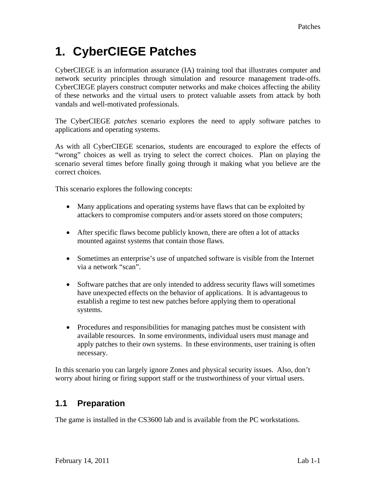# **1. CyberCIEGE Patches**

CyberCIEGE is an information assurance (IA) training tool that illustrates computer and network security principles through simulation and resource management trade-offs. CyberCIEGE players construct computer networks and make choices affecting the ability of these networks and the virtual users to protect valuable assets from attack by both vandals and well-motivated professionals.

The CyberCIEGE *patches* scenario explores the need to apply software patches to applications and operating systems.

As with all CyberCIEGE scenarios, students are encouraged to explore the effects of "wrong" choices as well as trying to select the correct choices. Plan on playing the scenario several times before finally going through it making what you believe are the correct choices.

This scenario explores the following concepts:

- Many applications and operating systems have flaws that can be exploited by attackers to compromise computers and/or assets stored on those computers;
- After specific flaws become publicly known, there are often a lot of attacks mounted against systems that contain those flaws.
- Sometimes an enterprise's use of unpatched software is visible from the Internet via a network "scan".
- Software patches that are only intended to address security flaws will sometimes have unexpected effects on the behavior of applications. It is advantageous to establish a regime to test new patches before applying them to operational systems.
- Procedures and responsibilities for managing patches must be consistent with available resources. In some environments, individual users must manage and apply patches to their own systems. In these environments, user training is often necessary.

In this scenario you can largely ignore Zones and physical security issues. Also, don't worry about hiring or firing support staff or the trustworthiness of your virtual users.

## **1.1 Preparation**

The game is installed in the CS3600 lab and is available from the PC workstations.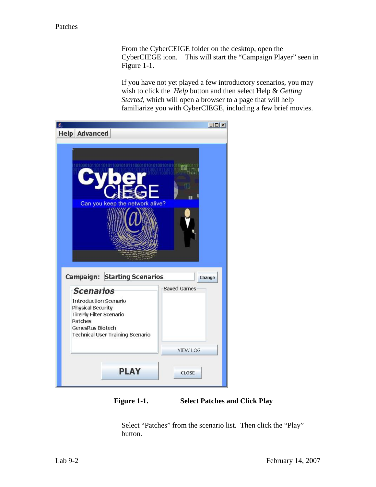From the CyberCEIGE folder on the desktop, open the CyberCIEGE icon. This will start the "Campaign Player" seen in [Figure 1-1](#page-1-0).

If you have not yet played a few introductory scenarios, you may wish to click the *Help* button and then select Help & *Getting Started*, which will open a browser to a page that will help familiarize you with CyberCIEGE, including a few brief movies.

| 鱼<br><b>Help Advanced</b>                                                                                                                                     | $  $ $\Box$ $\times$ |
|---------------------------------------------------------------------------------------------------------------------------------------------------------------|----------------------|
|                                                                                                                                                               |                      |
| Ш<br>Can you keep the network alive?<br><b>Campaign: Starting Scenarios</b><br>Change                                                                         |                      |
| <b>Scenarios</b>                                                                                                                                              | <b>Saved Games</b>   |
| <b>Introduction Scenario</b><br><b>Physical Security</b><br><b>TirePly Filter Scenario</b><br>Patches<br>GenesRus Biotech<br>Technical User Training Scenario |                      |
|                                                                                                                                                               | <b>VIEW LOG</b>      |
| <b>PLAY</b>                                                                                                                                                   | <b>CLOSE</b>         |

<span id="page-1-0"></span>**Figure 1-1. Select Patches and Click Play** 

Select "Patches" from the scenario list. Then click the "Play" button.